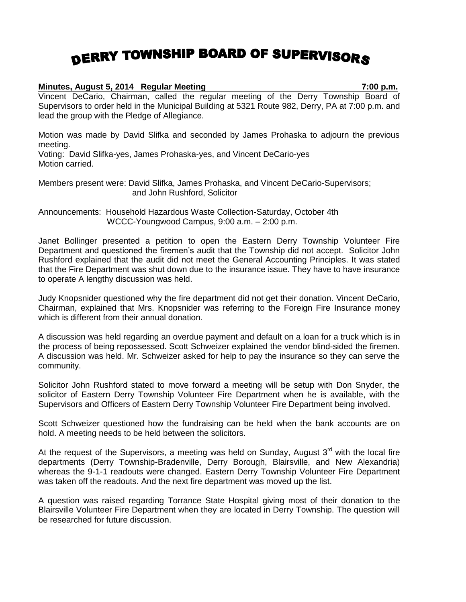## DERRY TOWNSHIP BOARD OF SUPERVISORS

## **Minutes, August 5, 2014 Regular Meeting 7:00 p.m.** Vincent DeCario, Chairman, called the regular meeting of the Derry Township Board of

Supervisors to order held in the Municipal Building at 5321 Route 982, Derry, PA at 7:00 p.m. and lead the group with the Pledge of Allegiance.

Motion was made by David Slifka and seconded by James Prohaska to adjourn the previous meeting.

Voting: David Slifka-yes, James Prohaska-yes, and Vincent DeCario-yes Motion carried.

Members present were: David Slifka, James Prohaska, and Vincent DeCario-Supervisors; and John Rushford, Solicitor

Announcements: Household Hazardous Waste Collection-Saturday, October 4th WCCC-Youngwood Campus, 9:00 a.m. – 2:00 p.m.

Janet Bollinger presented a petition to open the Eastern Derry Township Volunteer Fire Department and questioned the firemen's audit that the Township did not accept. Solicitor John Rushford explained that the audit did not meet the General Accounting Principles. It was stated that the Fire Department was shut down due to the insurance issue. They have to have insurance to operate A lengthy discussion was held.

Judy Knopsnider questioned why the fire department did not get their donation. Vincent DeCario, Chairman, explained that Mrs. Knopsnider was referring to the Foreign Fire Insurance money which is different from their annual donation.

A discussion was held regarding an overdue payment and default on a loan for a truck which is in the process of being repossessed. Scott Schweizer explained the vendor blind-sided the firemen. A discussion was held. Mr. Schweizer asked for help to pay the insurance so they can serve the community.

Solicitor John Rushford stated to move forward a meeting will be setup with Don Snyder, the solicitor of Eastern Derry Township Volunteer Fire Department when he is available, with the Supervisors and Officers of Eastern Derry Township Volunteer Fire Department being involved.

Scott Schweizer questioned how the fundraising can be held when the bank accounts are on hold. A meeting needs to be held between the solicitors.

At the request of the Supervisors, a meeting was held on Sunday, August  $3<sup>rd</sup>$  with the local fire departments (Derry Township-Bradenville, Derry Borough, Blairsville, and New Alexandria) whereas the 9-1-1 readouts were changed. Eastern Derry Township Volunteer Fire Department was taken off the readouts. And the next fire department was moved up the list.

A question was raised regarding Torrance State Hospital giving most of their donation to the Blairsville Volunteer Fire Department when they are located in Derry Township. The question will be researched for future discussion.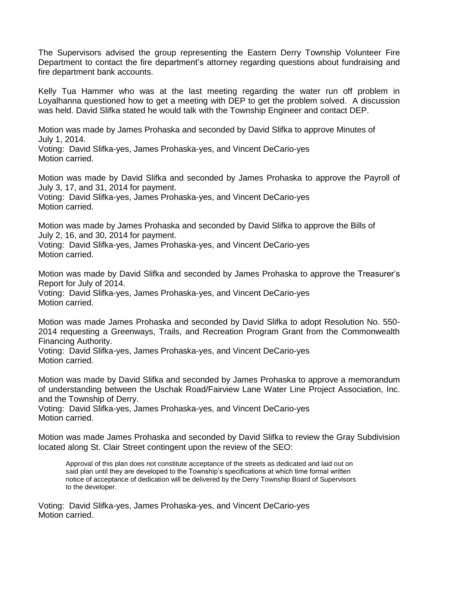The Supervisors advised the group representing the Eastern Derry Township Volunteer Fire Department to contact the fire department's attorney regarding questions about fundraising and fire department bank accounts.

Kelly Tua Hammer who was at the last meeting regarding the water run off problem in Loyalhanna questioned how to get a meeting with DEP to get the problem solved. A discussion was held. David Slifka stated he would talk with the Township Engineer and contact DEP.

Motion was made by James Prohaska and seconded by David Slifka to approve Minutes of July 1, 2014.

Voting: David Slifka-yes, James Prohaska-yes, and Vincent DeCario-yes Motion carried.

Motion was made by David Slifka and seconded by James Prohaska to approve the Payroll of July 3, 17, and 31, 2014 for payment.

Voting: David Slifka-yes, James Prohaska-yes, and Vincent DeCario-yes Motion carried.

Motion was made by James Prohaska and seconded by David Slifka to approve the Bills of July 2, 16, and 30, 2014 for payment.

Voting: David Slifka-yes, James Prohaska-yes, and Vincent DeCario-yes Motion carried.

Motion was made by David Slifka and seconded by James Prohaska to approve the Treasurer's Report for July of 2014.

Voting: David Slifka-yes, James Prohaska-yes, and Vincent DeCario-yes Motion carried.

Motion was made James Prohaska and seconded by David Slifka to adopt Resolution No. 550- 2014 requesting a Greenways, Trails, and Recreation Program Grant from the Commonwealth Financing Authority.

Voting: David Slifka-yes, James Prohaska-yes, and Vincent DeCario-yes Motion carried.

Motion was made by David Slifka and seconded by James Prohaska to approve a memorandum of understanding between the Uschak Road/Fairview Lane Water Line Project Association, Inc. and the Township of Derry.

Voting: David Slifka-yes, James Prohaska-yes, and Vincent DeCario-yes Motion carried.

Motion was made James Prohaska and seconded by David Slifka to review the Gray Subdivision located along St. Clair Street contingent upon the review of the SEO:

Approval of this plan does not constitute acceptance of the streets as dedicated and laid out on said plan until they are developed to the Township's specifications at which time formal written notice of acceptance of dedication will be delivered by the Derry Township Board of Supervisors to the developer.

Voting: David Slifka-yes, James Prohaska-yes, and Vincent DeCario-yes Motion carried.